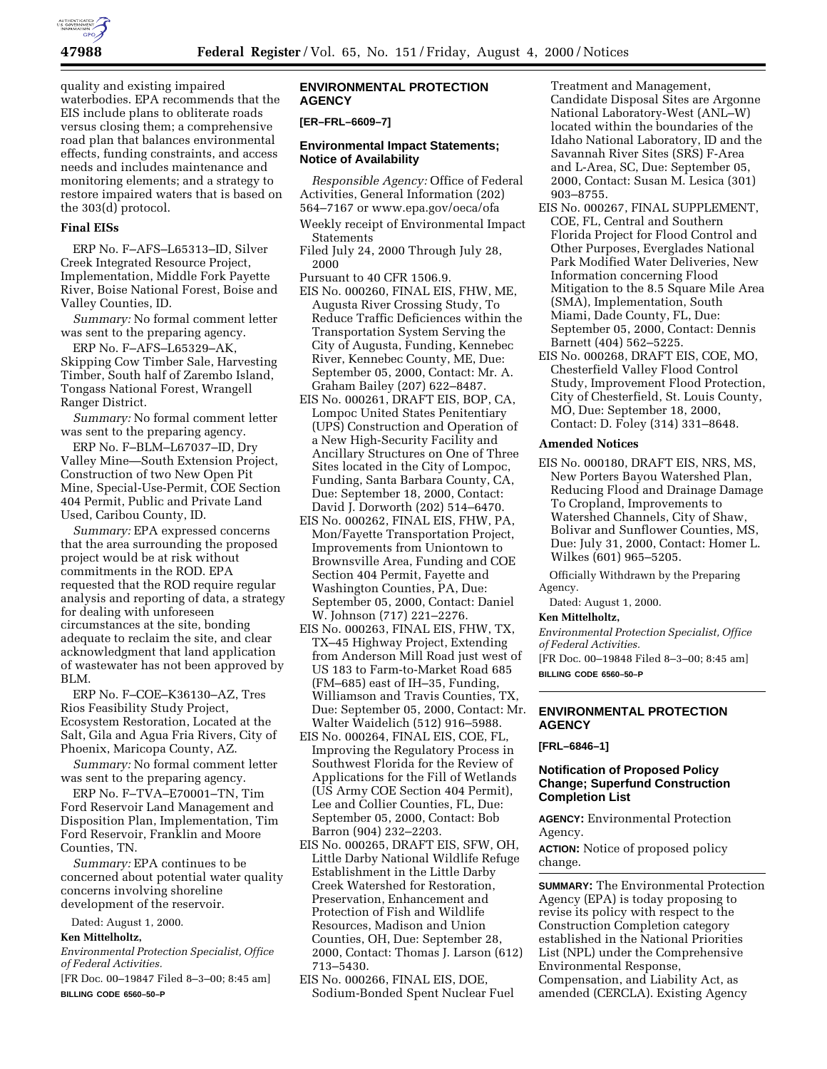

quality and existing impaired waterbodies. EPA recommends that the EIS include plans to obliterate roads versus closing them; a comprehensive road plan that balances environmental effects, funding constraints, and access needs and includes maintenance and monitoring elements; and a strategy to restore impaired waters that is based on the 303(d) protocol.

### **Final EISs**

ERP No. F–AFS–L65313–ID, Silver Creek Integrated Resource Project, Implementation, Middle Fork Payette River, Boise National Forest, Boise and Valley Counties, ID.

*Summary:* No formal comment letter was sent to the preparing agency.

ERP No. F–AFS–L65329–AK, Skipping Cow Timber Sale, Harvesting Timber, South half of Zarembo Island, Tongass National Forest, Wrangell Ranger District.

*Summary:* No formal comment letter was sent to the preparing agency.

ERP No. F–BLM–L67037–ID, Dry Valley Mine—South Extension Project, Construction of two New Open Pit Mine, Special-Use-Permit, COE Section 404 Permit, Public and Private Land Used, Caribou County, ID.

*Summary:* EPA expressed concerns that the area surrounding the proposed project would be at risk without commitments in the ROD. EPA requested that the ROD require regular analysis and reporting of data, a strategy for dealing with unforeseen circumstances at the site, bonding adequate to reclaim the site, and clear acknowledgment that land application of wastewater has not been approved by BLM.

ERP No. F–COE–K36130–AZ, Tres Rios Feasibility Study Project, Ecosystem Restoration, Located at the Salt, Gila and Agua Fria Rivers, City of Phoenix, Maricopa County, AZ.

*Summary:* No formal comment letter was sent to the preparing agency.

ERP No. F–TVA–E70001–TN, Tim Ford Reservoir Land Management and Disposition Plan, Implementation, Tim Ford Reservoir, Franklin and Moore Counties, TN.

*Summary:* EPA continues to be concerned about potential water quality concerns involving shoreline development of the reservoir.

Dated: August 1, 2000.

# **Ken Mittelholtz,**

*Environmental Protection Specialist, Office of Federal Activities.*

[FR Doc. 00–19847 Filed 8–3–00; 8:45 am] **BILLING CODE 6560–50–P**

## **ENVIRONMENTAL PROTECTION AGENCY**

### **[ER–FRL–6609–7]**

### **Environmental Impact Statements; Notice of Availability**

*Responsible Agency:* Office of Federal Activities, General Information (202) 564–7167 or www.epa.gov/oeca/ofa

- Weekly receipt of Environmental Impact Statements
- Filed July 24, 2000 Through July 28, 2000
- Pursuant to 40 CFR 1506.9.
- EIS No. 000260, FINAL EIS, FHW, ME, Augusta River Crossing Study, To Reduce Traffic Deficiences within the Transportation System Serving the City of Augusta, Funding, Kennebec River, Kennebec County, ME, Due: September 05, 2000, Contact: Mr. A. Graham Bailey (207) 622–8487.
- EIS No. 000261, DRAFT EIS, BOP, CA, Lompoc United States Penitentiary (UPS) Construction and Operation of a New High-Security Facility and Ancillary Structures on One of Three Sites located in the City of Lompoc, Funding, Santa Barbara County, CA, Due: September 18, 2000, Contact: David J. Dorworth (202) 514–6470.
- EIS No. 000262, FINAL EIS, FHW, PA, Mon/Fayette Transportation Project, Improvements from Uniontown to Brownsville Area, Funding and COE Section 404 Permit, Fayette and Washington Counties, PA, Due: September 05, 2000, Contact: Daniel W. Johnson (717) 221–2276.
- EIS No. 000263, FINAL EIS, FHW, TX, TX–45 Highway Project, Extending from Anderson Mill Road just west of US 183 to Farm-to-Market Road 685 (FM–685) east of IH–35, Funding, Williamson and Travis Counties, TX, Due: September 05, 2000, Contact: Mr. Walter Waidelich (512) 916–5988.
- EIS No. 000264, FINAL EIS, COE, FL, Improving the Regulatory Process in Southwest Florida for the Review of Applications for the Fill of Wetlands (US Army COE Section 404 Permit), Lee and Collier Counties, FL, Due: September 05, 2000, Contact: Bob Barron (904) 232–2203.
- EIS No. 000265, DRAFT EIS, SFW, OH, Little Darby National Wildlife Refuge Establishment in the Little Darby Creek Watershed for Restoration, Preservation, Enhancement and Protection of Fish and Wildlife Resources, Madison and Union Counties, OH, Due: September 28, 2000, Contact: Thomas J. Larson (612) 713–5430.
- EIS No. 000266, FINAL EIS, DOE, Sodium-Bonded Spent Nuclear Fuel

Treatment and Management, Candidate Disposal Sites are Argonne National Laboratory-West (ANL–W) located within the boundaries of the Idaho National Laboratory, ID and the Savannah River Sites (SRS) F-Area and L-Area, SC, Due: September 05, 2000, Contact: Susan M. Lesica (301) 903–8755.

- EIS No. 000267, FINAL SUPPLEMENT, COE, FL, Central and Southern Florida Project for Flood Control and Other Purposes, Everglades National Park Modified Water Deliveries, New Information concerning Flood Mitigation to the 8.5 Square Mile Area (SMA), Implementation, South Miami, Dade County, FL, Due: September 05, 2000, Contact: Dennis Barnett (404) 562–5225.
- EIS No. 000268, DRAFT EIS, COE, MO, Chesterfield Valley Flood Control Study, Improvement Flood Protection, City of Chesterfield, St. Louis County, MO, Due: September 18, 2000, Contact: D. Foley (314) 331–8648.

### **Amended Notices**

EIS No. 000180, DRAFT EIS, NRS, MS, New Porters Bayou Watershed Plan, Reducing Flood and Drainage Damage To Cropland, Improvements to Watershed Channels, City of Shaw, Bolivar and Sunflower Counties, MS, Due: July 31, 2000, Contact: Homer L. Wilkes (601) 965–5205.

Officially Withdrawn by the Preparing Agency.

Dated: August 1, 2000.

## **Ken Mittelholtz,**

*Environmental Protection Specialist, Office of Federal Activities.*

[FR Doc. 00–19848 Filed 8–3–00; 8:45 am] **BILLING CODE 6560–50–P**

### **ENVIRONMENTAL PROTECTION AGENCY**

**[FRL–6846–1]**

# **Notification of Proposed Policy Change; Superfund Construction Completion List**

**AGENCY:** Environmental Protection Agency.

**ACTION:** Notice of proposed policy change.

**SUMMARY:** The Environmental Protection Agency (EPA) is today proposing to revise its policy with respect to the Construction Completion category established in the National Priorities List (NPL) under the Comprehensive Environmental Response, Compensation, and Liability Act, as amended (CERCLA). Existing Agency